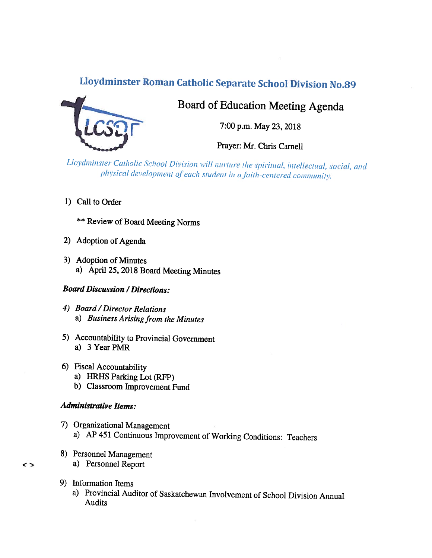# Lloydminster Roman Catholic Separate School Division No.89



# Board of Education Meeting Agenda

7:00 p.m. May 23, 2018

Prayer: Mr. Chris Carnell

Lloydminster Catholic School Division will nurture the spiritual, intellectual, social, and physical development of each student in a faith-centered community.

- 1) Call to Order
	- **\*\* Review of Board Meeting Norms**
- 2) Adoption of Agenda
- 3) Adoption of Minutes a) April 25, 2018 Board Meeting Minutes

#### **Board Discussion / Directions:**

- 4) Board / Director Relations a) Business Arising from the Minutes
- 5) Accountability to Provincial Government a) 3 Year PMR
- 6) Fiscal Accountability
	- a) HRHS Parking Lot (RFP)
	- b) Classroom Improvement Fund

### **Administrative Items:**

- 7) Organizational Management a) AP 451 Continuous Improvement of Working Conditions: Teachers
- 8) Personnel Management a) Personnel Report
- 9) Information Items
	- a) Provincial Auditor of Saskatchewan Involvement of School Division Annual Audits

 $\leq$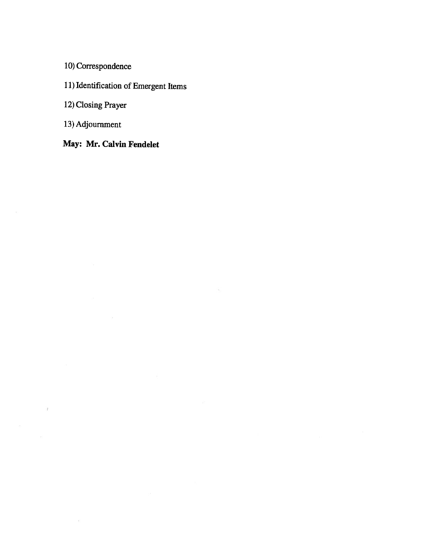10) Correspondence

11) Identification of Emergent Items

 $\mathcal{G}$ 

12) Closing Prayer

13) Adjournment

 $\overline{t}$ 

 $\widetilde{\mathcal{M}}$ 

 $\langle \hat{f} \rangle$ 

May: Mr. Calvin Fendelet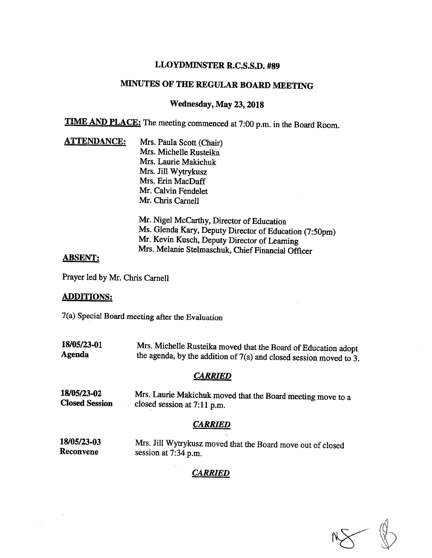## LLOYDMINSTER R.C.S.S.D. #89

# MINUTES OF THE REGULAR BOARD MEETING

#### Wednesday, May 23, 2018

TIME AND PLACE: The meeting commenced at 7:00 p.m. in the Board Room.

**ATTENDANCE:** Mrs. Paula Scott (Chair) Mrs. Michelle Rusteika Mrs. Laurie Makichuk Mrs. Jill Wytrykusz Mrs. Erin MacDuff Mr. Calvin Fendelet Mr. Chris Carnell

> Mr. Nigel McCarthy, Director of Education<br>Ms. Glenda Kary, Deputy Director of Education (7:50pm) Mr. Kevin Kusch, Deputy Director of Learning<br>Mrs. Melanie Stelmaschuk, Chief Financial Officer

#### ABSENT:

Prayer led by Mr. Chris Carnell

#### ADDITIONS:

7(a) Special Board meeting after the Evaluation

18/05/23-01 Mrs. Michelle Rusteika moved that the Board of Education adopt Agenda the agenda, by the addition of 7(a) and closed session moved to 3.

#### **CARRIED**

18/05/23-02 Mrs. Laurie Makichuk moved that the Board meeting move to a Closed Session closed session at 7:11 p.m.

# **CARRIED**

18/05/23-03 Mrs. Jill Wytrykusz moved that the Board move out of closed Reconvene session at 7:34 p.m.

# **CARRIED**